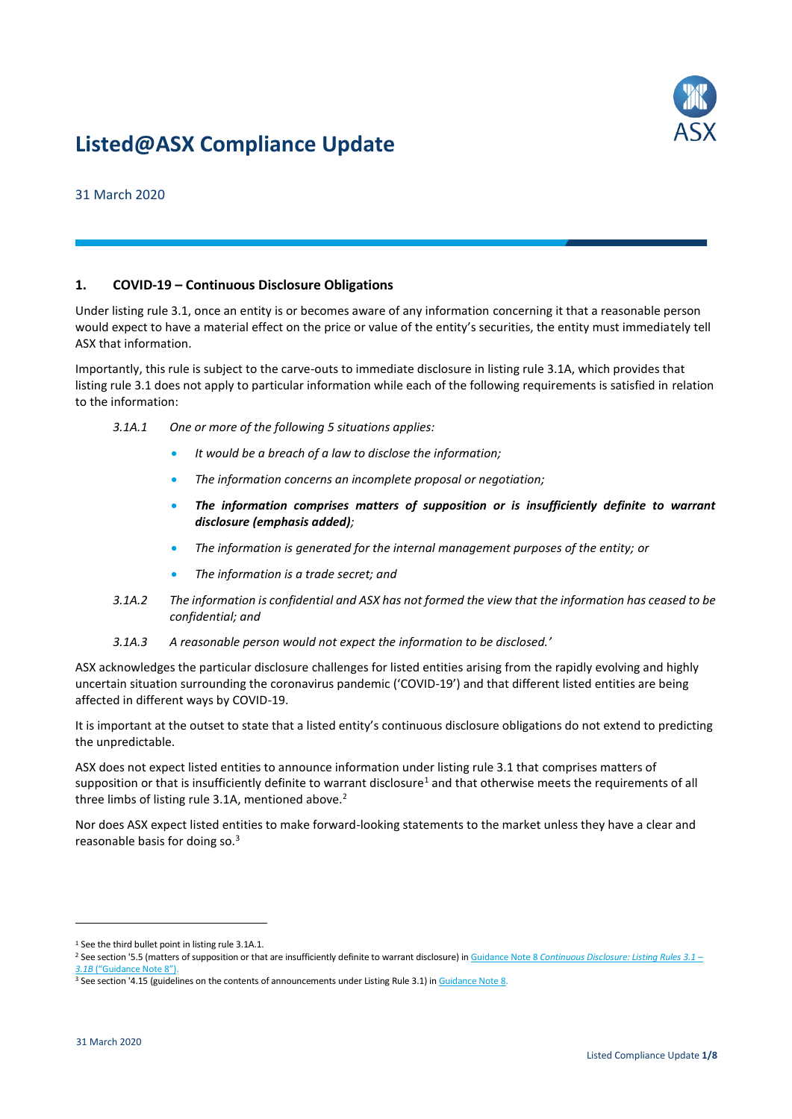# **Listed@ASX Compliance Update**



31 March 2020

# **1. COVID-19 – Continuous Disclosure Obligations**

Under listing rule 3.1, once an entity is or becomes aware of any information concerning it that a reasonable person would expect to have a material effect on the price or value of the entity's securities, the entity must immediately tell ASX that information.

Importantly, this rule is subject to the carve-outs to immediate disclosure in listing rule 3.1A, which provides that listing rule 3.1 does not apply to particular information while each of the following requirements is satisfied in relation to the information:

- *3.1A.1 One or more of the following 5 situations applies:*
	- *It would be a breach of a law to disclose the information;*
	- *The information concerns an incomplete proposal or negotiation;*
	- *The information comprises matters of supposition or is insufficiently definite to warrant disclosure (emphasis added);*
	- *The information is generated for the internal management purposes of the entity; or*
	- *The information is a trade secret; and*
- *3.1A.2 The information is confidential and ASX has not formed the view that the information has ceased to be confidential; and*
- *3.1A.3 A reasonable person would not expect the information to be disclosed.'*

ASX acknowledges the particular disclosure challenges for listed entities arising from the rapidly evolving and highly uncertain situation surrounding the coronavirus pandemic ('COVID-19') and that different listed entities are being affected in different ways by COVID-19.

It is important at the outset to state that a listed entity's continuous disclosure obligations do not extend to predicting the unpredictable.

ASX does not expect listed entities to announce information under listing rule 3.1 that comprises matters of supposition or that is insufficiently definite to warrant disclosure<sup>1</sup> and that otherwise meets the requirements of all three limbs of listing rule 3.1A, mentioned above.<sup>2</sup>

Nor does ASX expect listed entities to make forward-looking statements to the market unless they have a clear and reasonable basis for doing so.<sup>3</sup>

1

<sup>&</sup>lt;sup>1</sup> See the third bullet point in listing rule 3.1A.1.

<sup>2</sup> See section '5.5 (matters of supposition or that are insufficiently definite to warrant disclosure) in Guidance Note 8 *[Continuous Disclosure: Listing Rules 3.1](https://www.asx.com.au/documents/rules/gn08_continuous_disclosure.pdf) –* **[3.1B](https://www.asx.com.au/documents/rules/gn08_continuous_disclosure.pdf)** ("Guida

<sup>&</sup>lt;sup>3</sup> See section '4.15 (guidelines on the contents of announcements under Listing Rule 3.1) i[n Guidance Note](https://www.asx.com.au/documents/rules/gn08_continuous_disclosure.pdf) 8.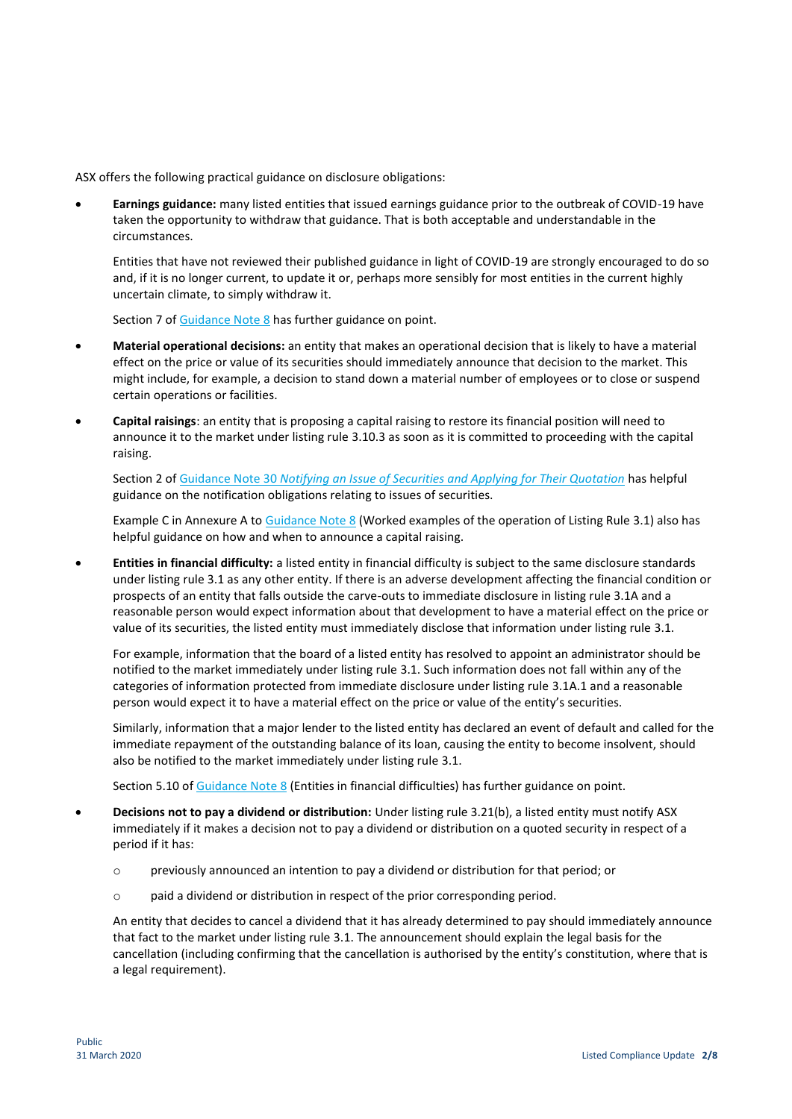ASX offers the following practical guidance on disclosure obligations:

 **Earnings guidance:** many listed entities that issued earnings guidance prior to the outbreak of COVID-19 have taken the opportunity to withdraw that guidance. That is both acceptable and understandable in the circumstances.

Entities that have not reviewed their published guidance in light of COVID-19 are strongly encouraged to do so and, if it is no longer current, to update it or, perhaps more sensibly for most entities in the current highly uncertain climate, to simply withdraw it.

Section 7 of [Guidance Note](https://www.asx.com.au/documents/rules/gn08_continuous_disclosure.pdf) 8 has further guidance on point.

- **Material operational decisions:** an entity that makes an operational decision that is likely to have a material effect on the price or value of its securities should immediately announce that decision to the market. This might include, for example, a decision to stand down a material number of employees or to close or suspend certain operations or facilities.
- **Capital raisings**: an entity that is proposing a capital raising to restore its financial position will need to announce it to the market under listing rule 3.10.3 as soon as it is committed to proceeding with the capital raising.

Section 2 of Guidance Note 30 *[Notifying an Issue of Securities and Applying for Their Quotation](https://www.asx.com.au/documents/rules/gn30_quotation_of_additional_securities.pdf)* has helpful guidance on the notification obligations relating to issues of securities.

Example C in Annexure A t[o Guidance Note](https://www.asx.com.au/documents/rules/gn08_continuous_disclosure.pdf) 8 (Worked examples of the operation of Listing Rule 3.1) also has helpful guidance on how and when to announce a capital raising.

 **Entities in financial difficulty:** a listed entity in financial difficulty is subject to the same disclosure standards under listing rule 3.1 as any other entity. If there is an adverse development affecting the financial condition or prospects of an entity that falls outside the carve-outs to immediate disclosure in listing rule 3.1A and a reasonable person would expect information about that development to have a material effect on the price or value of its securities, the listed entity must immediately disclose that information under listing rule 3.1.

For example, information that the board of a listed entity has resolved to appoint an administrator should be notified to the market immediately under listing rule 3.1. Such information does not fall within any of the categories of information protected from immediate disclosure under listing rule 3.1A.1 and a reasonable person would expect it to have a material effect on the price or value of the entity's securities.

Similarly, information that a major lender to the listed entity has declared an event of default and called for the immediate repayment of the outstanding balance of its loan, causing the entity to become insolvent, should also be notified to the market immediately under listing rule 3.1.

Section 5.10 of [Guidance Note](https://www.asx.com.au/documents/rules/gn08_continuous_disclosure.pdf) 8 (Entities in financial difficulties) has further guidance on point.

- **Decisions not to pay a dividend or distribution:** Under listing rule 3.21(b), a listed entity must notify ASX immediately if it makes a decision not to pay a dividend or distribution on a quoted security in respect of a period if it has:
	- o previously announced an intention to pay a dividend or distribution for that period; or
	- $\circ$  paid a dividend or distribution in respect of the prior corresponding period.

An entity that decides to cancel a dividend that it has already determined to pay should immediately announce that fact to the market under listing rule 3.1. The announcement should explain the legal basis for the cancellation (including confirming that the cancellation is authorised by the entity's constitution, where that is a legal requirement).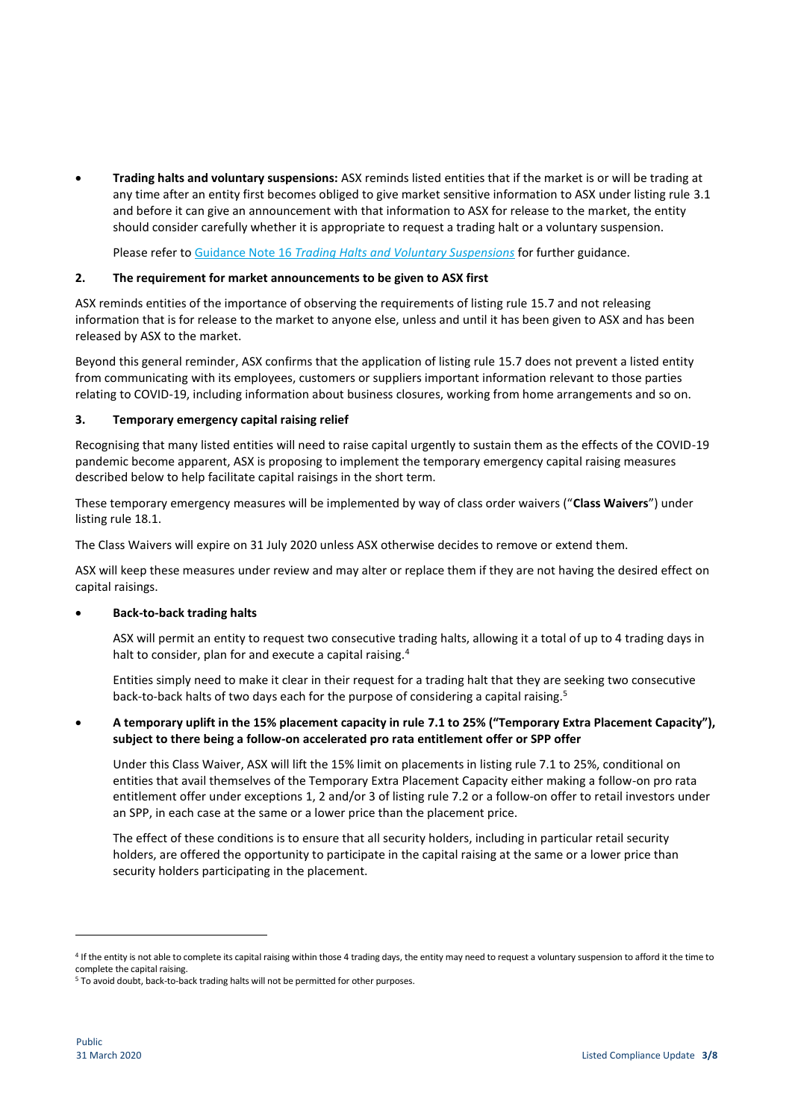**Trading halts and voluntary suspensions:** ASX reminds listed entities that if the market is or will be trading at any time after an entity first becomes obliged to give market sensitive information to ASX under listing rule 3.1 and before it can give an announcement with that information to ASX for release to the market, the entity should consider carefully whether it is appropriate to request a trading halt or a voluntary suspension.

Please refer to Guidance Note 16 *[Trading Halts and Voluntary Suspensions](https://www.asx.com.au/documents/rules/gn16_trading_halts.pdf)* for further guidance.

## **2. The requirement for market announcements to be given to ASX first**

ASX reminds entities of the importance of observing the requirements of listing rule 15.7 and not releasing information that is for release to the market to anyone else, unless and until it has been given to ASX and has been released by ASX to the market.

Beyond this general reminder, ASX confirms that the application of listing rule 15.7 does not prevent a listed entity from communicating with its employees, customers or suppliers important information relevant to those parties relating to COVID-19, including information about business closures, working from home arrangements and so on.

## **3. Temporary emergency capital raising relief**

Recognising that many listed entities will need to raise capital urgently to sustain them as the effects of the COVID-19 pandemic become apparent, ASX is proposing to implement the temporary emergency capital raising measures described below to help facilitate capital raisings in the short term.

These temporary emergency measures will be implemented by way of class order waivers ("**Class Waivers**") under listing rule 18.1.

The Class Waivers will expire on 31 July 2020 unless ASX otherwise decides to remove or extend them.

ASX will keep these measures under review and may alter or replace them if they are not having the desired effect on capital raisings.

## **Back-to-back trading halts**

ASX will permit an entity to request two consecutive trading halts, allowing it a total of up to 4 trading days in halt to consider, plan for and execute a capital raising.<sup>4</sup>

Entities simply need to make it clear in their request for a trading halt that they are seeking two consecutive back-to-back halts of two days each for the purpose of considering a capital raising.<sup>5</sup>

# **A temporary uplift in the 15% placement capacity in rule 7.1 to 25% ("Temporary Extra Placement Capacity"), subject to there being a follow-on accelerated pro rata entitlement offer or SPP offer**

Under this Class Waiver, ASX will lift the 15% limit on placements in listing rule 7.1 to 25%, conditional on entities that avail themselves of the Temporary Extra Placement Capacity either making a follow-on pro rata entitlement offer under exceptions 1, 2 and/or 3 of listing rule 7.2 or a follow-on offer to retail investors under an SPP, in each case at the same or a lower price than the placement price.

The effect of these conditions is to ensure that all security holders, including in particular retail security holders, are offered the opportunity to participate in the capital raising at the same or a lower price than security holders participating in the placement.

**.** 

<sup>4</sup> If the entity is not able to complete its capital raising within those 4 trading days, the entity may need to request a voluntary suspension to afford it the time to complete the capital raising.

<sup>&</sup>lt;sup>5</sup> To avoid doubt, back-to-back trading halts will not be permitted for other purposes.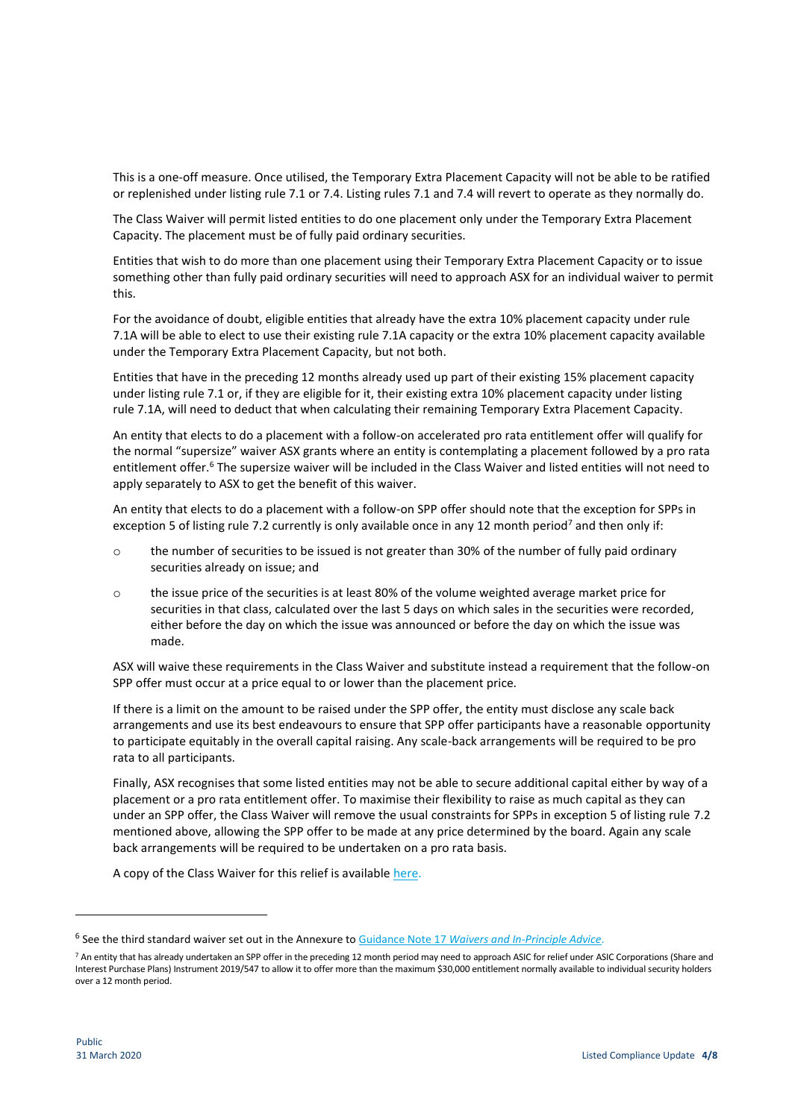This is a one-off measure. Once utilised, the Temporary Extra Placement Capacity will not be able to be ratified or replenished under listing rule 7.1 or 7.4. Listing rules 7.1 and 7.4 will revert to operate as they normally do.

The Class Waiver will permit listed entities to do one placement only under the Temporary Extra Placement Capacity. The placement must be of fully paid ordinary securities.

Entities that wish to do more than one placement using their Temporary Extra Placement Capacity or to issue something other than fully paid ordinary securities will need to approach ASX for an individual waiver to permit this.

For the avoidance of doubt, eligible entities that already have the extra 10% placement capacity under rule 7.1A will be able to elect to use their existing rule 7.1A capacity or the extra 10% placement capacity available under the Temporary Extra Placement Capacity, but not both.

Entities that have in the preceding 12 months already used up part of their existing 15% placement capacity under listing rule 7.1 or, if they are eligible for it, their existing extra 10% placement capacity under listing rule 7.1A, will need to deduct that when calculating their remaining Temporary Extra Placement Capacity.

An entity that elects to do a placement with a follow-on accelerated pro rata entitlement offer will qualify for the normal "supersize" waiver ASX grants where an entity is contemplating a placement followed by a pro rata entitlement offer.<sup>6</sup> The supersize waiver will be included in the Class Waiver and listed entities will not need to apply separately to ASX to get the benefit of this waiver.

An entity that elects to do a placement with a follow-on SPP offer should note that the exception for SPPs in exception 5 of listing rule 7.2 currently is only available once in any 12 month period<sup>7</sup> and then only if:

- $\circ$  the number of securities to be issued is not greater than 30% of the number of fully paid ordinary securities already on issue; and
- o the issue price of the securities is at least 80% of the volume weighted average market price for securities in that class, calculated over the last 5 days on which sales in the securities were recorded, either before the day on which the issue was announced or before the day on which the issue was made.

ASX will waive these requirements in the Class Waiver and substitute instead a requirement that the follow-on SPP offer must occur at a price equal to or lower than the placement price.

If there is a limit on the amount to be raised under the SPP offer, the entity must disclose any scale back arrangements and use its best endeavours to ensure that SPP offer participants have a reasonable opportunity to participate equitably in the overall capital raising. Any scale-back arrangements will be required to be pro rata to all participants.

Finally, ASX recognises that some listed entities may not be able to secure additional capital either by way of a placement or a pro rata entitlement offer. To maximise their flexibility to raise as much capital as they can under an SPP offer, the Class Waiver will remove the usual constraints for SPPs in exception 5 of listing rule 7.2 mentioned above, allowing the SPP offer to be made at any price determined by the board. Again any scale back arrangements will be required to be undertaken on a pro rata basis.

A copy of the Class Waiver for this relief is available [here.](https://www2.asx.com.au/content/dam/asx/about/final-asx-class-waiver-listing-rule-7-1.pdf)

1

<sup>6</sup> See the third standard waiver set out in the Annexure to Guidance Note 17 *[Waivers and In-Principle Advice](https://www.asx.com.au/documents/rules/gn17_waivers.pdf)*.

<sup>7</sup> An entity that has already undertaken an SPP offer in the preceding 12 month period may need to approach ASIC for relief under ASIC Corporations (Share and Interest Purchase Plans) Instrument 2019/547 to allow it to offer more than the maximum \$30,000 entitlement normally available to individual security holders over a 12 month period.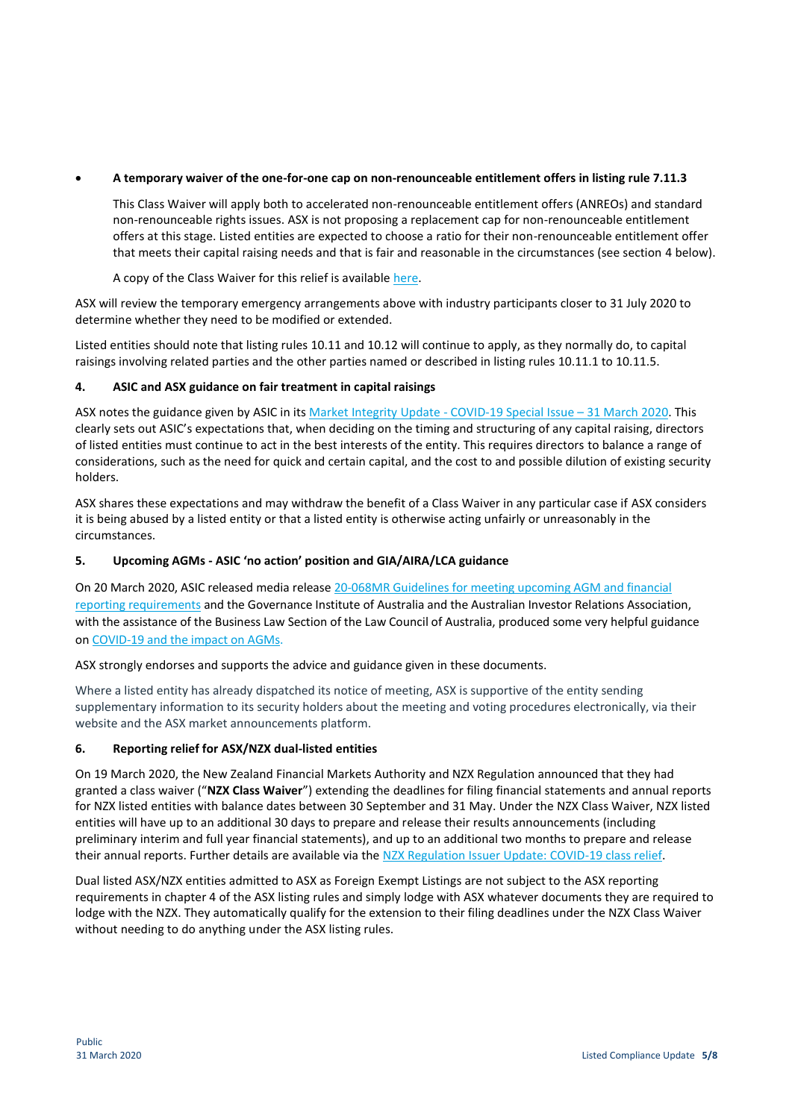# **A temporary waiver of the one-for-one cap on non-renounceable entitlement offers in listing rule 7.11.3**

This Class Waiver will apply both to accelerated non-renounceable entitlement offers (ANREOs) and standard non-renounceable rights issues. ASX is not proposing a replacement cap for non-renounceable entitlement offers at this stage. Listed entities are expected to choose a ratio for their non-renounceable entitlement offer that meets their capital raising needs and that is fair and reasonable in the circumstances (see section 4 below).

A copy of the Class Waiver for this relief is available [here.](https://www2.asx.com.au/content/dam/asx/about/final-asx-class-waiver-listing-rule-7-11-3.pdf)

ASX will review the temporary emergency arrangements above with industry participants closer to 31 July 2020 to determine whether they need to be modified or extended.

Listed entities should note that listing rules 10.11 and 10.12 will continue to apply, as they normally do, to capital raisings involving related parties and the other parties named or described in listing rules 10.11.1 to 10.11.5.

# **4. ASIC and ASX guidance on fair treatment in capital raisings**

ASX notes the guidance given by ASIC in it[s Market Integrity Update -](https://asic.gov.au/about-asic/corporate-publications/newsletters/market-integrity-update/market-integrity-update-covid-19-special-issue-31-march-2020/) COVID-19 Special Issue – 31 March 2020. This clearly sets out ASIC's expectations that, when deciding on the timing and structuring of any capital raising, directors of listed entities must continue to act in the best interests of the entity. This requires directors to balance a range of considerations, such as the need for quick and certain capital, and the cost to and possible dilution of existing security holders.

ASX shares these expectations and may withdraw the benefit of a Class Waiver in any particular case if ASX considers it is being abused by a listed entity or that a listed entity is otherwise acting unfairly or unreasonably in the circumstances.

# **5. Upcoming AGMs - ASIC 'no action' position and GIA/AIRA/LCA guidance**

On 20 March 2020, ASIC released media releas[e 20-068MR Guidelines for meeting upcoming AGM and financial](https://asic.gov.au/about-asic/news-centre/find-a-media-release/2020-releases/20-068mr-guidelines-for-meeting-upcoming-agm-and-financial-reporting-requirements/)  [reporting requirements](https://asic.gov.au/about-asic/news-centre/find-a-media-release/2020-releases/20-068mr-guidelines-for-meeting-upcoming-agm-and-financial-reporting-requirements/) and the Governance Institute of Australia and the Australian Investor Relations Association, with the assistance of the Business Law Section of the Law Council of Australia, produced some very helpful guidance o[n COVID-19 and the impact on AGMs.](https://www.governanceinstitute.com.au/media/884744/guidance_agms-and-impact-of-covid-19-final.pdf)

ASX strongly endorses and supports the advice and guidance given in these documents.

Where a listed entity has already dispatched its notice of meeting, ASX is supportive of the entity sending supplementary information to its security holders about the meeting and voting procedures electronically, via their website and the ASX market announcements platform.

## **6. Reporting relief for ASX/NZX dual-listed entities**

On 19 March 2020, the New Zealand Financial Markets Authority and NZX Regulation announced that they had granted a class waiver ("**NZX Class Waiver**") extending the deadlines for filing financial statements and annual reports for NZX listed entities with balance dates between 30 September and 31 May. Under the NZX Class Waiver, NZX listed entities will have up to an additional 30 days to prepare and release their results announcements (including preliminary interim and full year financial statements), and up to an additional two months to prepare and release their annual reports. Further details are available via the [NZX Regulation Issuer Update: COVID-19 class relief.](http://nzx-prod-s7fsd7f98s.s3-website-ap-southeast-2.amazonaws.com/attachments/NZXR/350265/319169.pdf)

Dual listed ASX/NZX entities admitted to ASX as Foreign Exempt Listings are not subject to the ASX reporting requirements in chapter 4 of the ASX listing rules and simply lodge with ASX whatever documents they are required to lodge with the NZX. They automatically qualify for the extension to their filing deadlines under the NZX Class Waiver without needing to do anything under the ASX listing rules.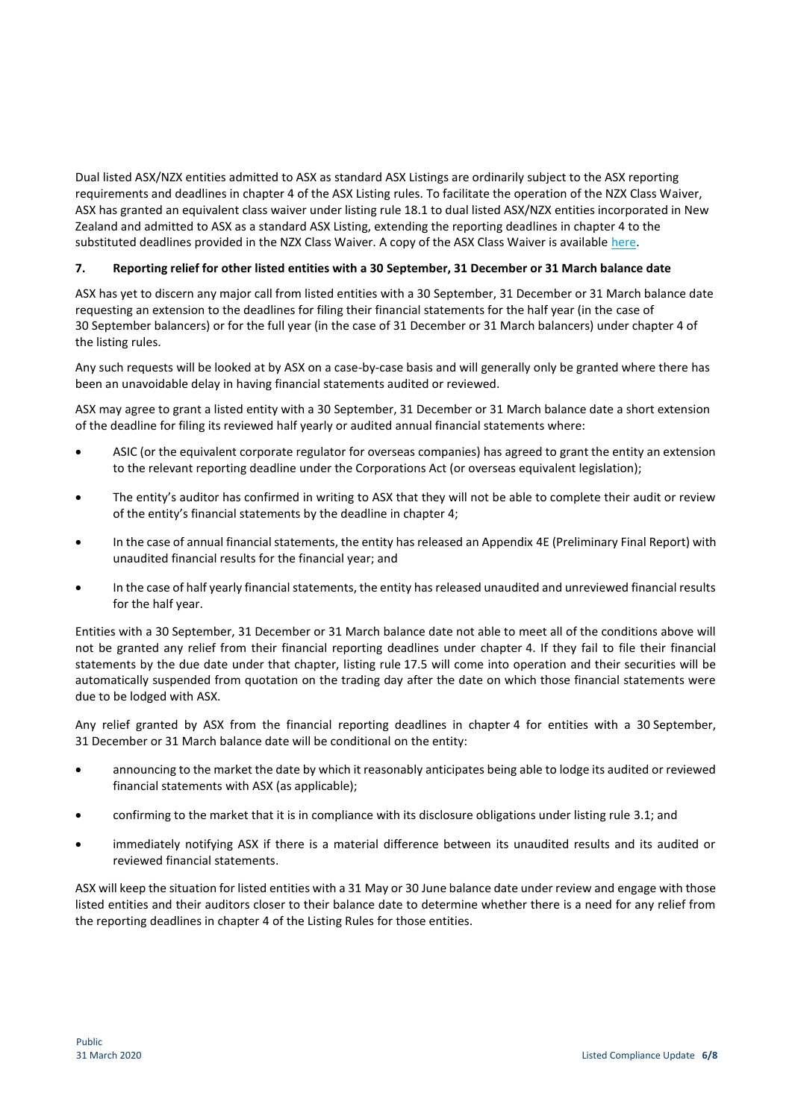Dual listed ASX/NZX entities admitted to ASX as standard ASX Listings are ordinarily subject to the ASX reporting requirements and deadlines in chapter 4 of the ASX Listing rules. To facilitate the operation of the NZX Class Waiver, ASX has granted an equivalent class waiver under listing rule 18.1 to dual listed ASX/NZX entities incorporated in New Zealand and admitted to ASX as a standard ASX Listing, extending the reporting deadlines in chapter 4 to the substituted deadlines provided in the NZX Class Waiver. A copy of the ASX Class Waiver is availabl[e here.](https://www2.asx.com.au/content/dam/asx/about/final-nzx-class-waiver.pdf)

# **7. Reporting relief for other listed entities with a 30 September, 31 December or 31 March balance date**

ASX has yet to discern any major call from listed entities with a 30 September, 31 December or 31 March balance date requesting an extension to the deadlines for filing their financial statements for the half year (in the case of 30 September balancers) or for the full year (in the case of 31 December or 31 March balancers) under chapter 4 of the listing rules.

Any such requests will be looked at by ASX on a case-by-case basis and will generally only be granted where there has been an unavoidable delay in having financial statements audited or reviewed.

ASX may agree to grant a listed entity with a 30 September, 31 December or 31 March balance date a short extension of the deadline for filing its reviewed half yearly or audited annual financial statements where:

- ASIC (or the equivalent corporate regulator for overseas companies) has agreed to grant the entity an extension to the relevant reporting deadline under the Corporations Act (or overseas equivalent legislation);
- The entity's auditor has confirmed in writing to ASX that they will not be able to complete their audit or review of the entity's financial statements by the deadline in chapter 4;
- In the case of annual financial statements, the entity has released an Appendix 4E (Preliminary Final Report) with unaudited financial results for the financial year; and
- In the case of half yearly financial statements, the entity has released unaudited and unreviewed financial results for the half year.

Entities with a 30 September, 31 December or 31 March balance date not able to meet all of the conditions above will not be granted any relief from their financial reporting deadlines under chapter 4. If they fail to file their financial statements by the due date under that chapter, listing rule 17.5 will come into operation and their securities will be automatically suspended from quotation on the trading day after the date on which those financial statements were due to be lodged with ASX.

Any relief granted by ASX from the financial reporting deadlines in chapter 4 for entities with a 30 September, 31 December or 31 March balance date will be conditional on the entity:

- announcing to the market the date by which it reasonably anticipates being able to lodge its audited or reviewed financial statements with ASX (as applicable);
- confirming to the market that it is in compliance with its disclosure obligations under listing rule 3.1; and
- immediately notifying ASX if there is a material difference between its unaudited results and its audited or reviewed financial statements.

ASX will keep the situation for listed entities with a 31 May or 30 June balance date under review and engage with those listed entities and their auditors closer to their balance date to determine whether there is a need for any relief from the reporting deadlines in chapter 4 of the Listing Rules for those entities.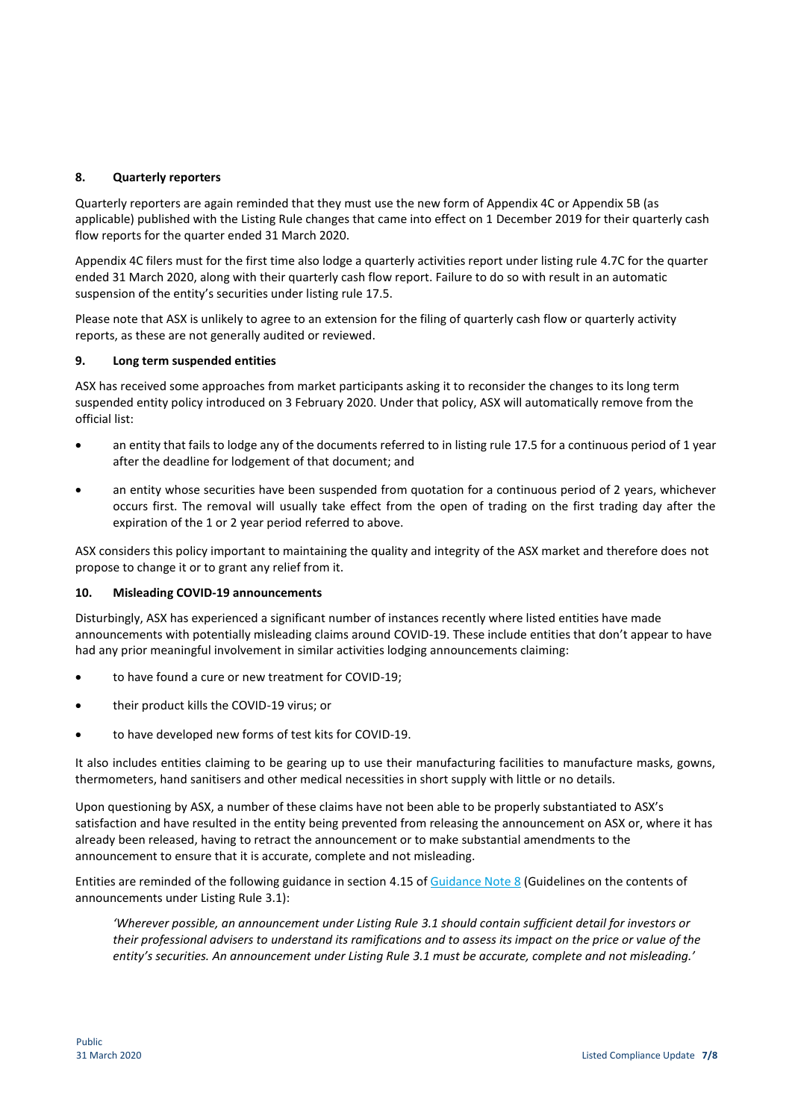## **8. Quarterly reporters**

Quarterly reporters are again reminded that they must use the new form of Appendix 4C or Appendix 5B (as applicable) published with the Listing Rule changes that came into effect on 1 December 2019 for their quarterly cash flow reports for the quarter ended 31 March 2020.

Appendix 4C filers must for the first time also lodge a quarterly activities report under listing rule 4.7C for the quarter ended 31 March 2020, along with their quarterly cash flow report. Failure to do so with result in an automatic suspension of the entity's securities under listing rule 17.5.

Please note that ASX is unlikely to agree to an extension for the filing of quarterly cash flow or quarterly activity reports, as these are not generally audited or reviewed.

## **9. Long term suspended entities**

ASX has received some approaches from market participants asking it to reconsider the changes to its long term suspended entity policy introduced on 3 February 2020. Under that policy, ASX will automatically remove from the official list:

- an entity that fails to lodge any of the documents referred to in listing rule 17.5 for a continuous period of 1 year after the deadline for lodgement of that document; and
- an entity whose securities have been suspended from quotation for a continuous period of 2 years, whichever occurs first. The removal will usually take effect from the open of trading on the first trading day after the expiration of the 1 or 2 year period referred to above.

ASX considers this policy important to maintaining the quality and integrity of the ASX market and therefore does not propose to change it or to grant any relief from it.

## **10. Misleading COVID-19 announcements**

Disturbingly, ASX has experienced a significant number of instances recently where listed entities have made announcements with potentially misleading claims around COVID-19. These include entities that don't appear to have had any prior meaningful involvement in similar activities lodging announcements claiming:

- to have found a cure or new treatment for COVID-19;
- their product kills the COVID-19 virus; or
- to have developed new forms of test kits for COVID-19.

It also includes entities claiming to be gearing up to use their manufacturing facilities to manufacture masks, gowns, thermometers, hand sanitisers and other medical necessities in short supply with little or no details.

Upon questioning by ASX, a number of these claims have not been able to be properly substantiated to ASX's satisfaction and have resulted in the entity being prevented from releasing the announcement on ASX or, where it has already been released, having to retract the announcement or to make substantial amendments to the announcement to ensure that it is accurate, complete and not misleading.

Entities are reminded of the following guidance in section 4.15 of [Guidance Note](https://www.asx.com.au/documents/rules/gn08_continuous_disclosure.pdf) 8 (Guidelines on the contents of announcements under Listing Rule 3.1):

*'Wherever possible, an announcement under Listing Rule 3.1 should contain sufficient detail for investors or their professional advisers to understand its ramifications and to assess its impact on the price or value of the entity's securities. An announcement under Listing Rule 3.1 must be accurate, complete and not misleading.'*